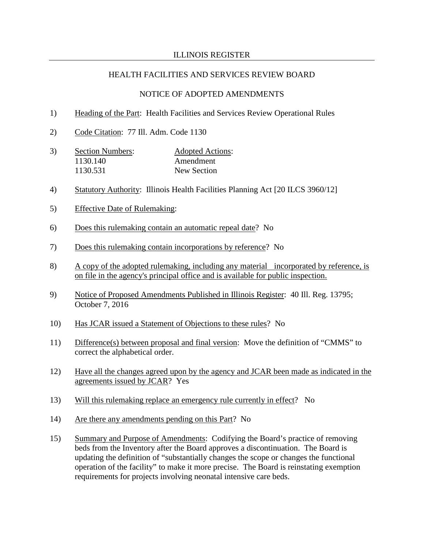## HEALTH FACILITIES AND SERVICES REVIEW BOARD

#### NOTICE OF ADOPTED AMENDMENTS

- 1) Heading of the Part: Health Facilities and Services Review Operational Rules
- 2) Code Citation: 77 Ill. Adm. Code 1130
- 3) Section Numbers: Adopted Actions:<br>1130.140 Amendment Amendment 1130.531 New Section
- 4) Statutory Authority: Illinois Health Facilities Planning Act [20 ILCS 3960/12]
- 5) Effective Date of Rulemaking:
- 6) Does this rulemaking contain an automatic repeal date? No
- 7) Does this rulemaking contain incorporations by reference? No
- 8) A copy of the adopted rulemaking, including any material incorporated by reference, is on file in the agency's principal office and is available for public inspection.
- 9) Notice of Proposed Amendments Published in Illinois Register: 40 Ill. Reg. 13795; October 7, 2016
- 10) Has JCAR issued a Statement of Objections to these rules? No
- 11) Difference(s) between proposal and final version: Move the definition of "CMMS" to correct the alphabetical order.
- 12) Have all the changes agreed upon by the agency and JCAR been made as indicated in the agreements issued by JCAR? Yes
- 13) Will this rulemaking replace an emergency rule currently in effect? No
- 14) Are there any amendments pending on this Part? No
- 15) Summary and Purpose of Amendments: Codifying the Board's practice of removing beds from the Inventory after the Board approves a discontinuation. The Board is updating the definition of "substantially changes the scope or changes the functional operation of the facility" to make it more precise. The Board is reinstating exemption requirements for projects involving neonatal intensive care beds.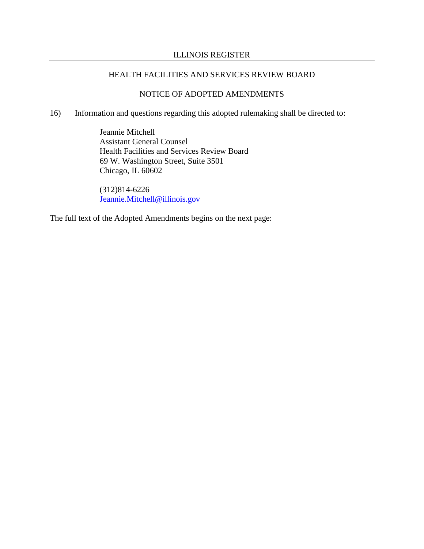## HEALTH FACILITIES AND SERVICES REVIEW BOARD

## NOTICE OF ADOPTED AMENDMENTS

## 16) Information and questions regarding this adopted rulemaking shall be directed to:

Jeannie Mitchell Assistant General Counsel Health Facilities and Services Review Board 69 W. Washington Street, Suite 3501 Chicago, IL 60602

(312)814-6226 [Jeannie.Mitchell@illinois.gov](mailto:Jeannie.Mitchell@illinois.gov)

The full text of the Adopted Amendments begins on the next page: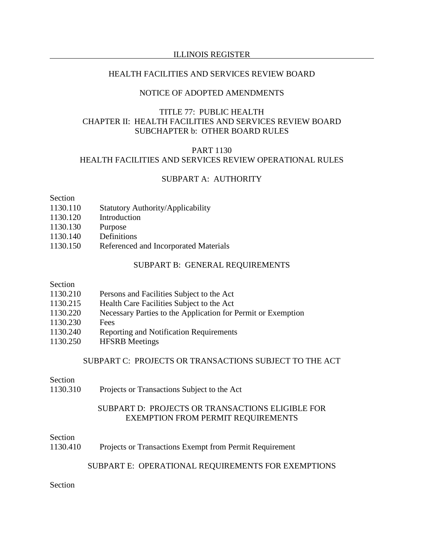## HEALTH FACILITIES AND SERVICES REVIEW BOARD

## NOTICE OF ADOPTED AMENDMENTS

## TITLE 77: PUBLIC HEALTH CHAPTER II: HEALTH FACILITIES AND SERVICES REVIEW BOARD SUBCHAPTER b: OTHER BOARD RULES

# PART 1130 HEALTH FACILITIES AND SERVICES REVIEW OPERATIONAL RULES

## SUBPART A: AUTHORITY

#### Section

- 1130.110 Statutory Authority/Applicability
- 1130.120 Introduction
- 1130.130 Purpose
- 1130.140 Definitions
- 1130.150 Referenced and Incorporated Materials

#### SUBPART B: GENERAL REQUIREMENTS

#### Section

- 1130.215 Health Care Facilities Subject to the Act
- 1130.220 Necessary Parties to the Application for Permit or Exemption
- 1130.230 Fees
- 1130.240 Reporting and Notification Requirements
- 1130.250 HFSRB Meetings

# SUBPART C: PROJECTS OR TRANSACTIONS SUBJECT TO THE ACT

#### Section

1130.310 Projects or Transactions Subject to the Act

## SUBPART D: PROJECTS OR TRANSACTIONS ELIGIBLE FOR EXEMPTION FROM PERMIT REQUIREMENTS

#### Section

1130.410 Projects or Transactions Exempt from Permit Requirement

### SUBPART E: OPERATIONAL REQUIREMENTS FOR EXEMPTIONS

# Section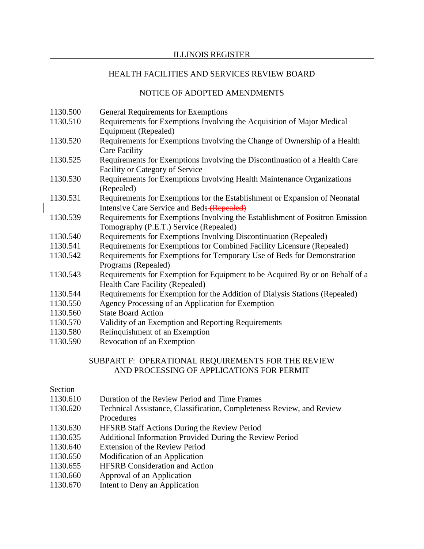## NOTICE OF ADOPTED AMENDMENTS

- 1130.500 General Requirements for Exemptions
- 1130.510 Requirements for Exemptions Involving the Acquisition of Major Medical Equipment (Repealed)
- 1130.520 Requirements for Exemptions Involving the Change of Ownership of a Health Care Facility
- 1130.525 Requirements for Exemptions Involving the Discontinuation of a Health Care Facility or Category of Service
- 1130.530 Requirements for Exemptions Involving Health Maintenance Organizations (Repealed)
- 1130.531 Requirements for Exemptions for the Establishment or Expansion of Neonatal Intensive Care Service and Beds (Repealed)
- 1130.539 Requirements for Exemptions Involving the Establishment of Positron Emission Tomography (P.E.T.) Service (Repealed)
- 1130.540 Requirements for Exemptions Involving Discontinuation (Repealed)
- 1130.541 Requirements for Exemptions for Combined Facility Licensure (Repealed)
- 1130.542 Requirements for Exemptions for Temporary Use of Beds for Demonstration Programs (Repealed)
- 1130.543 Requirements for Exemption for Equipment to be Acquired By or on Behalf of a Health Care Facility (Repealed)
- 1130.544 Requirements for Exemption for the Addition of Dialysis Stations (Repealed)
- 1130.550 Agency Processing of an Application for Exemption
- 1130.560 State Board Action
- 1130.570 Validity of an Exemption and Reporting Requirements
- 1130.580 Relinquishment of an Exemption
- 1130.590 Revocation of an Exemption

# SUBPART F: OPERATIONAL REQUIREMENTS FOR THE REVIEW AND PROCESSING OF APPLICATIONS FOR PERMIT

## Section

- 1130.610 Duration of the Review Period and Time Frames
- 1130.620 Technical Assistance, Classification, Completeness Review, and Review
- Procedures
- 1130.630 HFSRB Staff Actions During the Review Period
- 1130.635 Additional Information Provided During the Review Period
- 1130.640 Extension of the Review Period
- 1130.650 Modification of an Application
- 1130.655 HFSRB Consideration and Action
- 1130.660 Approval of an Application
- 1130.670 Intent to Deny an Application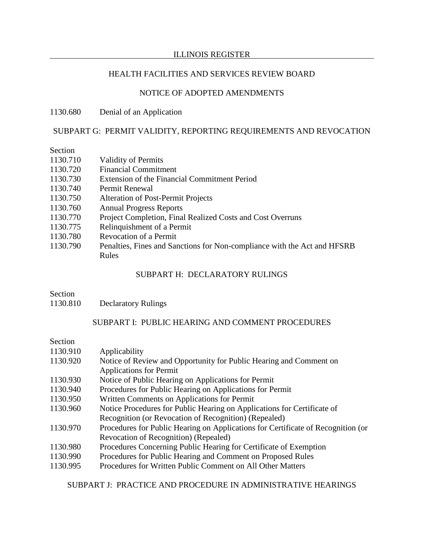# HEALTH FACILITIES AND SERVICES REVIEW BOARD

## NOTICE OF ADOPTED AMENDMENTS

1130.680 Denial of an Application

# SUBPART G: PERMIT VALIDITY, REPORTING REQUIREMENTS AND REVOCATION

# Section

| 1130.710 | <b>Validity of Permits</b>                                               |
|----------|--------------------------------------------------------------------------|
| 1130.720 | <b>Financial Commitment</b>                                              |
| 1130.730 | Extension of the Financial Commitment Period                             |
| 1130.740 | Permit Renewal                                                           |
| 1130.750 | <b>Alteration of Post-Permit Projects</b>                                |
| 1130.760 | <b>Annual Progress Reports</b>                                           |
| 1130.770 | Project Completion, Final Realized Costs and Cost Overruns               |
| 1130.775 | Relinquishment of a Permit                                               |
| 1130.780 | <b>Revocation of a Permit</b>                                            |
| 1130.790 | Penalties, Fines and Sanctions for Non-compliance with the Act and HFSRB |
|          | Rules                                                                    |

## SUBPART H: DECLARATORY RULINGS

## Section

1130.810 Declaratory Rulings

## SUBPART I: PUBLIC HEARING AND COMMENT PROCEDURES

| Section  |                                                                                  |
|----------|----------------------------------------------------------------------------------|
| 1130.910 | Applicability                                                                    |
| 1130.920 | Notice of Review and Opportunity for Public Hearing and Comment on               |
|          | <b>Applications for Permit</b>                                                   |
| 1130.930 | Notice of Public Hearing on Applications for Permit                              |
| 1130.940 | Procedures for Public Hearing on Applications for Permit                         |
| 1130.950 | Written Comments on Applications for Permit                                      |
| 1130.960 | Notice Procedures for Public Hearing on Applications for Certificate of          |
|          | Recognition (or Revocation of Recognition) (Repealed)                            |
| 1130.970 | Procedures for Public Hearing on Applications for Certificate of Recognition (or |
|          | Revocation of Recognition) (Repealed)                                            |
| 1130.980 | Procedures Concerning Public Hearing for Certificate of Exemption                |
| 1130.990 | Procedures for Public Hearing and Comment on Proposed Rules                      |
| 1130.995 | Procedures for Written Public Comment on All Other Matters                       |

SUBPART J: PRACTICE AND PROCEDURE IN ADMINISTRATIVE HEARINGS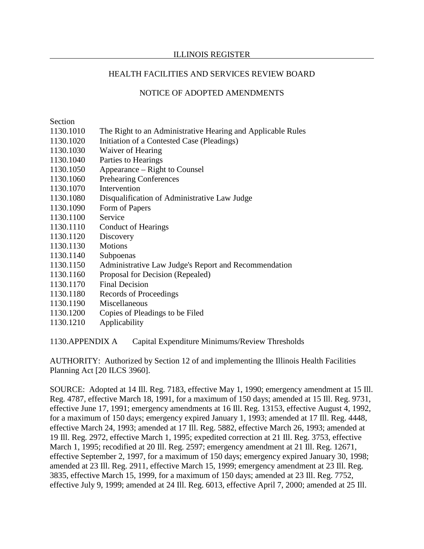## HEALTH FACILITIES AND SERVICES REVIEW BOARD

## NOTICE OF ADOPTED AMENDMENTS

Section

- 1130.1010 The Right to an Administrative Hearing and Applicable Rules
- 1130.1020 Initiation of a Contested Case (Pleadings)
- 1130.1030 Waiver of Hearing
- 1130.1040 Parties to Hearings
- 1130.1050 Appearance Right to Counsel
- 1130.1060 Prehearing Conferences
- 1130.1070 Intervention
- 1130.1080 Disqualification of Administrative Law Judge
- 1130.1090 Form of Papers
- 1130.1100 Service
- 1130.1110 Conduct of Hearings
- 1130.1120 Discovery
- 1130.1130 Motions
- 1130.1140 Subpoenas
- 1130.1150 Administrative Law Judge's Report and Recommendation
- 1130.1160 Proposal for Decision (Repealed)
- 1130.1170 Final Decision
- 1130.1180 Records of Proceedings
- 1130.1190 Miscellaneous
- 1130.1200 Copies of Pleadings to be Filed
- 1130.1210 Applicability

1130.APPENDIX A Capital Expenditure Minimums/Review Thresholds

AUTHORITY: Authorized by Section 12 of and implementing the Illinois Health Facilities Planning Act [20 ILCS 3960].

SOURCE: Adopted at 14 Ill. Reg. 7183, effective May 1, 1990; emergency amendment at 15 Ill. Reg. 4787, effective March 18, 1991, for a maximum of 150 days; amended at 15 Ill. Reg. 9731, effective June 17, 1991; emergency amendments at 16 Ill. Reg. 13153, effective August 4, 1992, for a maximum of 150 days; emergency expired January 1, 1993; amended at 17 Ill. Reg. 4448, effective March 24, 1993; amended at 17 Ill. Reg. 5882, effective March 26, 1993; amended at 19 Ill. Reg. 2972, effective March 1, 1995; expedited correction at 21 Ill. Reg. 3753, effective March 1, 1995; recodified at 20 Ill. Reg. 2597; emergency amendment at 21 Ill. Reg. 12671, effective September 2, 1997, for a maximum of 150 days; emergency expired January 30, 1998; amended at 23 Ill. Reg. 2911, effective March 15, 1999; emergency amendment at 23 Ill. Reg. 3835, effective March 15, 1999, for a maximum of 150 days; amended at 23 Ill. Reg. 7752, effective July 9, 1999; amended at 24 Ill. Reg. 6013, effective April 7, 2000; amended at 25 Ill.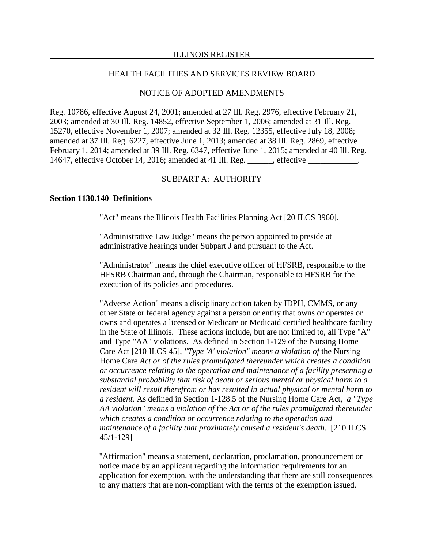### NOTICE OF ADOPTED AMENDMENTS

Reg. 10786, effective August 24, 2001; amended at 27 Ill. Reg. 2976, effective February 21, 2003; amended at 30 Ill. Reg. 14852, effective September 1, 2006; amended at 31 Ill. Reg. 15270, effective November 1, 2007; amended at 32 Ill. Reg. 12355, effective July 18, 2008; amended at 37 Ill. Reg. 6227, effective June 1, 2013; amended at 38 Ill. Reg. 2869, effective February 1, 2014; amended at 39 Ill. Reg. 6347, effective June 1, 2015; amended at 40 Ill. Reg. 14647, effective October 14, 2016; amended at 41 Ill. Reg. \_\_\_\_\_\_, effective \_\_\_\_\_\_\_\_\_\_\_\_.

## SUBPART A: AUTHORITY

### **Section 1130.140 Definitions**

"Act" means the Illinois Health Facilities Planning Act [20 ILCS 3960].

"Administrative Law Judge" means the person appointed to preside at administrative hearings under Subpart J and pursuant to the Act.

"Administrator" means the chief executive officer of HFSRB, responsible to the HFSRB Chairman and, through the Chairman, responsible to HFSRB for the execution of its policies and procedures.

"Adverse Action" means a disciplinary action taken by IDPH, CMMS, or any other State or federal agency against a person or entity that owns or operates or owns and operates a licensed or Medicare or Medicaid certified healthcare facility in the State of Illinois. These actions include, but are not limited to, all Type "A" and Type "AA" violations. As defined in Section 1-129 of the Nursing Home Care Act [210 ILCS 45], *"Type 'A' violation" means a violation of* the Nursing Home Care *Act or of the rules promulgated thereunder which creates a condition or occurrence relating to the operation and maintenance of a facility presenting a substantial probability that risk of death or serious mental or physical harm to a resident will result therefrom or has resulted in actual physical or mental harm to a resident.* As defined in Section 1-128.5 of the Nursing Home Care Act, *a "Type AA violation" means a violation of* the *Act or of the rules promulgated thereunder which creates a condition or occurrence relating to the operation and maintenance of a facility that proximately caused a resident's death.* [210 ILCS 45/1-129]

"Affirmation" means a statement, declaration, proclamation, pronouncement or notice made by an applicant regarding the information requirements for an application for exemption, with the understanding that there are still consequences to any matters that are non-compliant with the terms of the exemption issued.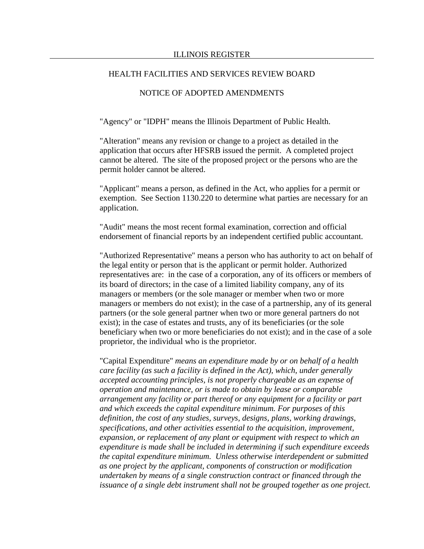## NOTICE OF ADOPTED AMENDMENTS

"Agency" or "IDPH" means the Illinois Department of Public Health.

"Alteration" means any revision or change to a project as detailed in the application that occurs after HFSRB issued the permit. A completed project cannot be altered. The site of the proposed project or the persons who are the permit holder cannot be altered.

"Applicant" means a person, as defined in the Act, who applies for a permit or exemption. See Section 1130.220 to determine what parties are necessary for an application.

"Audit" means the most recent formal examination, correction and official endorsement of financial reports by an independent certified public accountant.

"Authorized Representative" means a person who has authority to act on behalf of the legal entity or person that is the applicant or permit holder. Authorized representatives are: in the case of a corporation, any of its officers or members of its board of directors; in the case of a limited liability company, any of its managers or members (or the sole manager or member when two or more managers or members do not exist); in the case of a partnership, any of its general partners (or the sole general partner when two or more general partners do not exist); in the case of estates and trusts, any of its beneficiaries (or the sole beneficiary when two or more beneficiaries do not exist); and in the case of a sole proprietor, the individual who is the proprietor.

"Capital Expenditure" *means an expenditure made by or on behalf of a health care facility (as such a facility is defined in the Act), which, under generally accepted accounting principles, is not properly chargeable as an expense of operation and maintenance, or is made to obtain by lease or comparable arrangement any facility or part thereof or any equipment for a facility or part and which exceeds the capital expenditure minimum. For purposes of this definition, the cost of any studies, surveys, designs, plans, working drawings, specifications, and other activities essential to the acquisition, improvement, expansion, or replacement of any plant or equipment with respect to which an expenditure is made shall be included in determining if such expenditure exceeds the capital expenditure minimum. Unless otherwise interdependent or submitted as one project by the applicant, components of construction or modification undertaken by means of a single construction contract or financed through the issuance of a single debt instrument shall not be grouped together as one project.*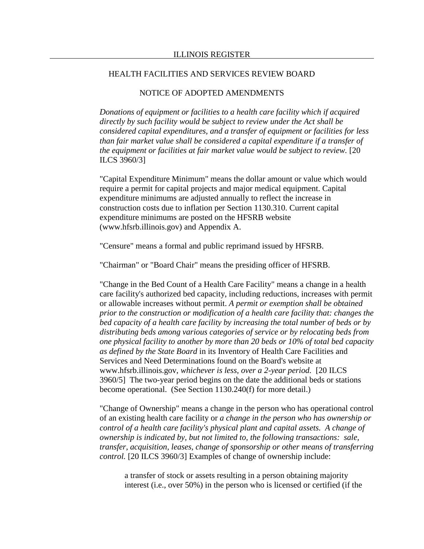## NOTICE OF ADOPTED AMENDMENTS

*Donations of equipment or facilities to a health care facility which if acquired directly by such facility would be subject to review under the Act shall be considered capital expenditures, and a transfer of equipment or facilities for less than fair market value shall be considered a capital expenditure if a transfer of the equipment or facilities at fair market value would be subject to review.* [20 ILCS 3960/3]

"Capital Expenditure Minimum" means the dollar amount or value which would require a permit for capital projects and major medical equipment. Capital expenditure minimums are adjusted annually to reflect the increase in construction costs due to inflation per Section 1130.310. Current capital expenditure minimums are posted on the HFSRB website (www.hfsrb.illinois.gov) and Appendix A.

"Censure" means a formal and public reprimand issued by HFSRB.

"Chairman" or "Board Chair" means the presiding officer of HFSRB.

"Change in the Bed Count of a Health Care Facility" means a change in a health care facility's authorized bed capacity, including reductions, increases with permit or allowable increases without permit. *A permit or exemption shall be obtained prior to the construction or modification of a health care facility that: changes the bed capacity of a health care facility by increasing the total number of beds or by distributing beds among various categories of service or by relocating beds from one physical facility to another by more than 20 beds or 10% of total bed capacity as defined by the State Board* in its Inventory of Health Care Facilities and Services and Need Determinations found on the Board's website at www.hfsrb.illinois.gov, *whichever is less, over a 2-year period.* [20 ILCS 3960/5] The two-year period begins on the date the additional beds or stations become operational. (See Section 1130.240(f) for more detail.)

"Change of Ownership" means a change in the person who has operational control of an existing health care facility or *a change in the person who has ownership or control of a health care facility's physical plant and capital assets. A change of ownership is indicated by, but not limited to, the following transactions: sale, transfer, acquisition, leases, change of sponsorship or other means of transferring control.* [20 ILCS 3960/3] Examples of change of ownership include:

a transfer of stock or assets resulting in a person obtaining majority interest (i.e., over 50%) in the person who is licensed or certified (if the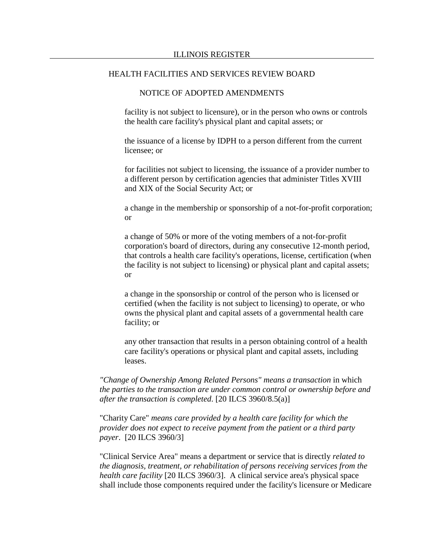## NOTICE OF ADOPTED AMENDMENTS

facility is not subject to licensure), or in the person who owns or controls the health care facility's physical plant and capital assets; or

the issuance of a license by IDPH to a person different from the current licensee; or

for facilities not subject to licensing, the issuance of a provider number to a different person by certification agencies that administer Titles XVIII and XIX of the Social Security Act; or

a change in the membership or sponsorship of a not-for-profit corporation; or

a change of 50% or more of the voting members of a not-for-profit corporation's board of directors, during any consecutive 12-month period, that controls a health care facility's operations, license, certification (when the facility is not subject to licensing) or physical plant and capital assets; or

a change in the sponsorship or control of the person who is licensed or certified (when the facility is not subject to licensing) to operate, or who owns the physical plant and capital assets of a governmental health care facility; or

any other transaction that results in a person obtaining control of a health care facility's operations or physical plant and capital assets, including leases.

*"Change of Ownership Among Related Persons" means a transaction* in which *the parties to the transaction are under common control or ownership before and after the transaction is completed*. [20 ILCS 3960/8.5(a)]

"Charity Care" *means care provided by a health care facility for which the provider does not expect to receive payment from the patient or a third party payer*. [20 ILCS 3960/3]

"Clinical Service Area" means a department or service that is directly *related to the diagnosis, treatment, or rehabilitation of persons receiving services from the health care facility* [20 ILCS 3960/3]. A clinical service area's physical space shall include those components required under the facility's licensure or Medicare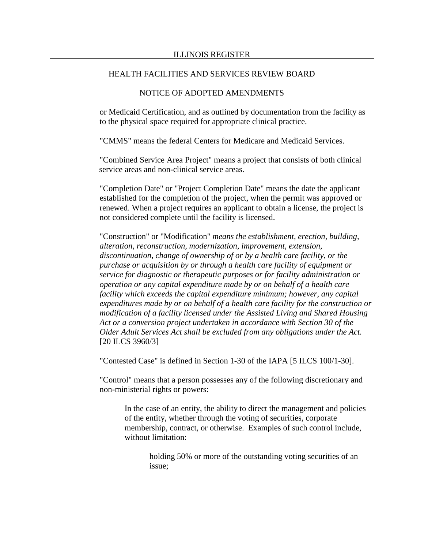## NOTICE OF ADOPTED AMENDMENTS

or Medicaid Certification, and as outlined by documentation from the facility as to the physical space required for appropriate clinical practice.

"CMMS" means the federal Centers for Medicare and Medicaid Services.

"Combined Service Area Project" means a project that consists of both clinical service areas and non-clinical service areas.

"Completion Date" or "Project Completion Date" means the date the applicant established for the completion of the project, when the permit was approved or renewed. When a project requires an applicant to obtain a license, the project is not considered complete until the facility is licensed.

"Construction" or "Modification" *means the establishment, erection, building, alteration, reconstruction, modernization, improvement, extension, discontinuation, change of ownership of or by a health care facility, or the purchase or acquisition by or through a health care facility of equipment or service for diagnostic or therapeutic purposes or for facility administration or operation or any capital expenditure made by or on behalf of a health care facility which exceeds the capital expenditure minimum; however, any capital expenditures made by or on behalf of a health care facility for the construction or modification of a facility licensed under the Assisted Living and Shared Housing Act or a conversion project undertaken in accordance with Section 30 of the Older Adult Services Act shall be excluded from any obligations under the Act.* [20 ILCS 3960/3]

"Contested Case" is defined in Section 1-30 of the IAPA [5 ILCS 100/1-30].

"Control" means that a person possesses any of the following discretionary and non-ministerial rights or powers:

In the case of an entity, the ability to direct the management and policies of the entity, whether through the voting of securities, corporate membership, contract, or otherwise. Examples of such control include, without limitation:

> holding 50% or more of the outstanding voting securities of an issue;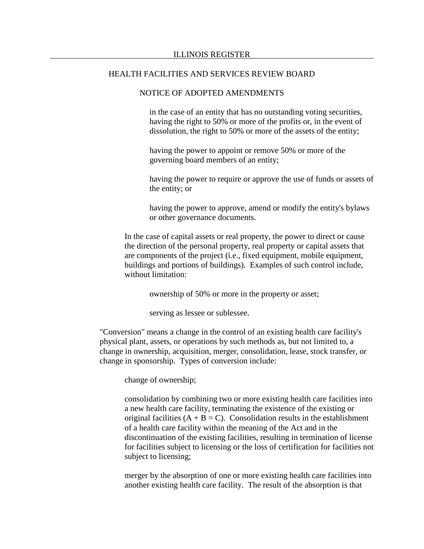#### NOTICE OF ADOPTED AMENDMENTS

in the case of an entity that has no outstanding voting securities, having the right to 50% or more of the profits or, in the event of dissolution, the right to 50% or more of the assets of the entity;

having the power to appoint or remove 50% or more of the governing board members of an entity;

having the power to require or approve the use of funds or assets of the entity; or

having the power to approve, amend or modify the entity's bylaws or other governance documents.

In the case of capital assets or real property, the power to direct or cause the direction of the personal property, real property or capital assets that are components of the project (i.e., fixed equipment, mobile equipment, buildings and portions of buildings). Examples of such control include, without limitation:

ownership of 50% or more in the property or asset;

serving as lessee or sublessee.

"Conversion" means a change in the control of an existing health care facility's physical plant, assets, or operations by such methods as, but not limited to, a change in ownership, acquisition, merger, consolidation, lease, stock transfer, or change in sponsorship. Types of conversion include:

change of ownership;

consolidation by combining two or more existing health care facilities into a new health care facility, terminating the existence of the existing or original facilities  $(A + B = C)$ . Consolidation results in the establishment of a health care facility within the meaning of the Act and in the discontinuation of the existing facilities, resulting in termination of license for facilities subject to licensing or the loss of certification for facilities not subject to licensing;

merger by the absorption of one or more existing health care facilities into another existing health care facility. The result of the absorption is that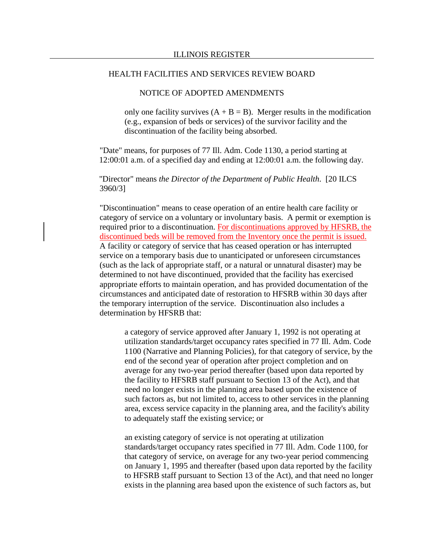### NOTICE OF ADOPTED AMENDMENTS

only one facility survives  $(A + B = B)$ . Merger results in the modification (e.g., expansion of beds or services) of the survivor facility and the discontinuation of the facility being absorbed.

"Date" means, for purposes of 77 Ill. Adm. Code 1130, a period starting at 12:00:01 a.m. of a specified day and ending at 12:00:01 a.m. the following day.

"Director" means *the Director of the Department of Public Health*. [20 ILCS 3960/3]

"Discontinuation" means to cease operation of an entire health care facility or category of service on a voluntary or involuntary basis. A permit or exemption is required prior to a discontinuation. For discontinuations approved by HFSRB, the discontinued beds will be removed from the Inventory once the permit is issued. A facility or category of service that has ceased operation or has interrupted service on a temporary basis due to unanticipated or unforeseen circumstances (such as the lack of appropriate staff, or a natural or unnatural disaster) may be determined to not have discontinued, provided that the facility has exercised appropriate efforts to maintain operation, and has provided documentation of the circumstances and anticipated date of restoration to HFSRB within 30 days after the temporary interruption of the service. Discontinuation also includes a determination by HFSRB that:

a category of service approved after January 1, 1992 is not operating at utilization standards/target occupancy rates specified in 77 Ill. Adm. Code 1100 (Narrative and Planning Policies), for that category of service, by the end of the second year of operation after project completion and on average for any two-year period thereafter (based upon data reported by the facility to HFSRB staff pursuant to Section 13 of the Act), and that need no longer exists in the planning area based upon the existence of such factors as, but not limited to, access to other services in the planning area, excess service capacity in the planning area, and the facility's ability to adequately staff the existing service; or

an existing category of service is not operating at utilization standards/target occupancy rates specified in 77 Ill. Adm. Code 1100, for that category of service, on average for any two-year period commencing on January 1, 1995 and thereafter (based upon data reported by the facility to HFSRB staff pursuant to Section 13 of the Act), and that need no longer exists in the planning area based upon the existence of such factors as, but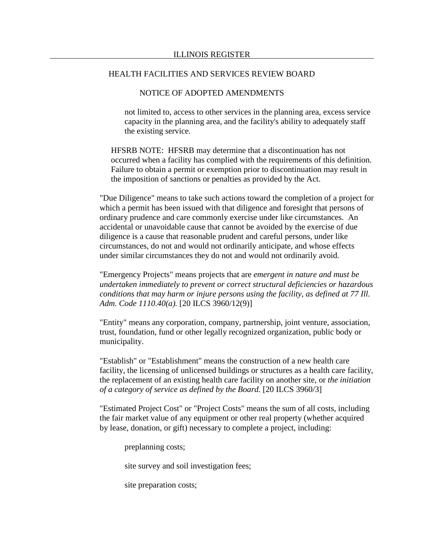## NOTICE OF ADOPTED AMENDMENTS

not limited to, access to other services in the planning area, excess service capacity in the planning area, and the facility's ability to adequately staff the existing service.

HFSRB NOTE: HFSRB may determine that a discontinuation has not occurred when a facility has complied with the requirements of this definition. Failure to obtain a permit or exemption prior to discontinuation may result in the imposition of sanctions or penalties as provided by the Act.

"Due Diligence" means to take such actions toward the completion of a project for which a permit has been issued with that diligence and foresight that persons of ordinary prudence and care commonly exercise under like circumstances. An accidental or unavoidable cause that cannot be avoided by the exercise of due diligence is a cause that reasonable prudent and careful persons, under like circumstances, do not and would not ordinarily anticipate, and whose effects under similar circumstances they do not and would not ordinarily avoid.

"Emergency Projects" means projects that are *emergent in nature and must be undertaken immediately to prevent or correct structural deficiencies or hazardous conditions that may harm or injure persons using the facility, as defined at 77 Ill. Adm. Code 1110.40(a).* [20 ILCS 3960/12(9)]

"Entity" means any corporation, company, partnership, joint venture, association, trust, foundation, fund or other legally recognized organization, public body or municipality.

"Establish" or "Establishment" means the construction of a new health care facility, the licensing of unlicensed buildings or structures as a health care facility, the replacement of an existing health care facility on another site, or *the initiation of a category of service as defined by the Board.* [20 ILCS 3960/3]

"Estimated Project Cost" or "Project Costs" means the sum of all costs, including the fair market value of any equipment or other real property (whether acquired by lease, donation, or gift) necessary to complete a project, including:

preplanning costs;

site survey and soil investigation fees;

site preparation costs;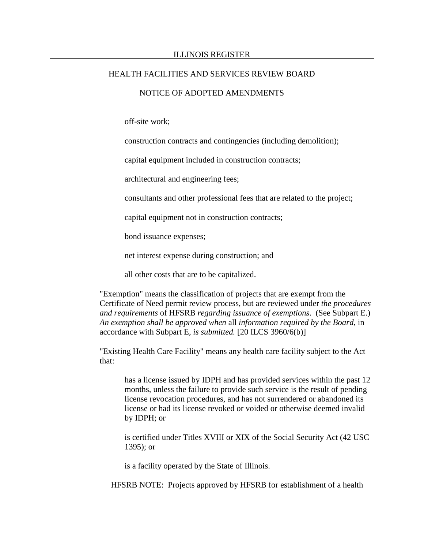### NOTICE OF ADOPTED AMENDMENTS

off-site work;

construction contracts and contingencies (including demolition);

capital equipment included in construction contracts;

architectural and engineering fees;

consultants and other professional fees that are related to the project;

capital equipment not in construction contracts;

bond issuance expenses;

net interest expense during construction; and

all other costs that are to be capitalized.

"Exemption" means the classification of projects that are exempt from the Certificate of Need permit review process, but are reviewed under *the procedures and requirements* of HFSRB *regarding issuance of exemptions*. (See Subpart E.) *An exemption shall be approved when* all *information required by the Board,* in accordance with Subpart E*, is submitted.* [20 ILCS 3960/6(b)]

"Existing Health Care Facility" means any health care facility subject to the Act that:

has a license issued by IDPH and has provided services within the past 12 months, unless the failure to provide such service is the result of pending license revocation procedures, and has not surrendered or abandoned its license or had its license revoked or voided or otherwise deemed invalid by IDPH; or

is certified under Titles XVIII or XIX of the Social Security Act (42 USC 1395); or

is a facility operated by the State of Illinois.

HFSRB NOTE: Projects approved by HFSRB for establishment of a health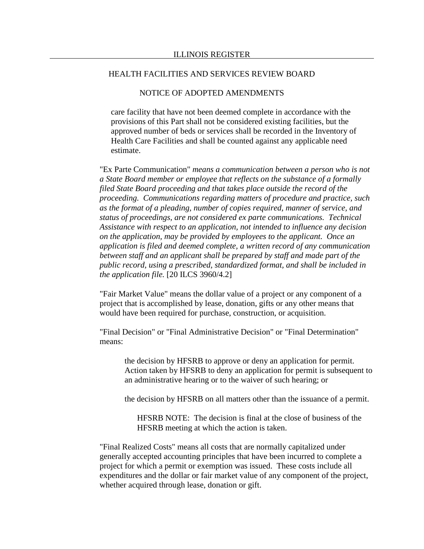### NOTICE OF ADOPTED AMENDMENTS

care facility that have not been deemed complete in accordance with the provisions of this Part shall not be considered existing facilities, but the approved number of beds or services shall be recorded in the Inventory of Health Care Facilities and shall be counted against any applicable need estimate.

"Ex Parte Communication" *means a communication between a person who is not a State Board member or employee that reflects on the substance of a formally filed State Board proceeding and that takes place outside the record of the proceeding. Communications regarding matters of procedure and practice, such as the format of a pleading, number of copies required, manner of service, and status of proceedings, are not considered ex parte communications. Technical Assistance with respect to an application, not intended to influence any decision on the application, may be provided by employees to the applicant. Once an application is filed and deemed complete, a written record of any communication between staff and an applicant shall be prepared by staff and made part of the public record, using a prescribed, standardized format, and shall be included in the application file.* [20 ILCS 3960/4.2]

"Fair Market Value" means the dollar value of a project or any component of a project that is accomplished by lease, donation, gifts or any other means that would have been required for purchase, construction, or acquisition.

"Final Decision" or "Final Administrative Decision" or "Final Determination" means:

the decision by HFSRB to approve or deny an application for permit. Action taken by HFSRB to deny an application for permit is subsequent to an administrative hearing or to the waiver of such hearing; or

the decision by HFSRB on all matters other than the issuance of a permit.

HFSRB NOTE: The decision is final at the close of business of the HFSRB meeting at which the action is taken.

"Final Realized Costs" means all costs that are normally capitalized under generally accepted accounting principles that have been incurred to complete a project for which a permit or exemption was issued. These costs include all expenditures and the dollar or fair market value of any component of the project, whether acquired through lease, donation or gift.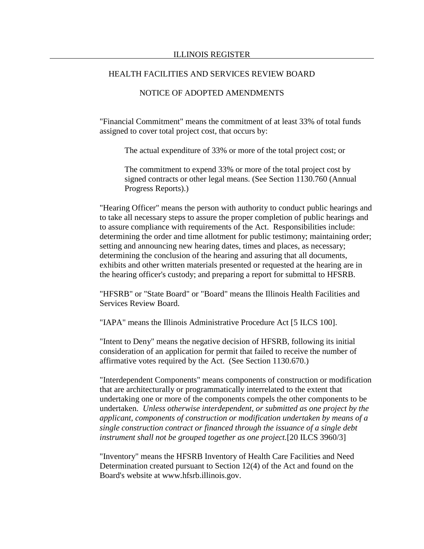## NOTICE OF ADOPTED AMENDMENTS

"Financial Commitment" means the commitment of at least 33% of total funds assigned to cover total project cost, that occurs by:

The actual expenditure of 33% or more of the total project cost; or

The commitment to expend 33% or more of the total project cost by signed contracts or other legal means. (See Section 1130.760 (Annual Progress Reports).)

"Hearing Officer" means the person with authority to conduct public hearings and to take all necessary steps to assure the proper completion of public hearings and to assure compliance with requirements of the Act. Responsibilities include: determining the order and time allotment for public testimony; maintaining order; setting and announcing new hearing dates, times and places, as necessary; determining the conclusion of the hearing and assuring that all documents, exhibits and other written materials presented or requested at the hearing are in the hearing officer's custody; and preparing a report for submittal to HFSRB.

"HFSRB" or "State Board" or "Board" means the Illinois Health Facilities and Services Review Board.

"IAPA" means the Illinois Administrative Procedure Act [5 ILCS 100].

"Intent to Deny" means the negative decision of HFSRB, following its initial consideration of an application for permit that failed to receive the number of affirmative votes required by the Act. (See Section 1130.670.)

"Interdependent Components" means components of construction or modification that are architecturally or programmatically interrelated to the extent that undertaking one or more of the components compels the other components to be undertaken. *Unless otherwise interdependent, or submitted as one project by the applicant, components of construction or modification undertaken by means of a single construction contract or financed through the issuance of a single debt instrument shall not be grouped together as one project.*[20 ILCS 3960/3]

"Inventory" means the HFSRB Inventory of Health Care Facilities and Need Determination created pursuant to Section 12(4) of the Act and found on the Board's website at www.hfsrb.illinois.gov.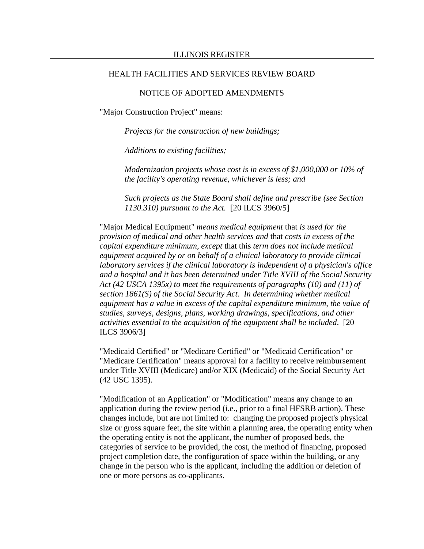## NOTICE OF ADOPTED AMENDMENTS

"Major Construction Project" means:

*Projects for the construction of new buildings;*

*Additions to existing facilities;* 

*Modernization projects whose cost is in excess of \$1,000,000 or 10% of the facility's operating revenue, whichever is less; and*

*Such projects as the State Board shall define and prescribe (see Section 1130.310) pursuant to the Act.* [20 ILCS 3960/5]

"Major Medical Equipment" *means medical equipment* that *is used for the provision of medical and other health services and* that *costs in excess of the capital expenditure minimum, except* that this *term does not include medical equipment acquired by or on behalf of a clinical laboratory to provide clinical laboratory services if the clinical laboratory is independent of a physician's office and a hospital and it has been determined under Title XVIII of the Social Security Act (42 USCA 1395x) to meet the requirements of paragraphs (10) and (11) of section 1861(S) of the Social Security Act. In determining whether medical equipment has a value in excess of the capital expenditure minimum, the value of studies, surveys, designs, plans, working drawings, specifications, and other activities essential to the acquisition of the equipment shall be included*. [20 ILCS 3906/3]

"Medicaid Certified" or "Medicare Certified" or "Medicaid Certification" or "Medicare Certification" means approval for a facility to receive reimbursement under Title XVIII (Medicare) and/or XIX (Medicaid) of the Social Security Act (42 USC 1395).

"Modification of an Application" or "Modification" means any change to an application during the review period (i.e., prior to a final HFSRB action). These changes include, but are not limited to: changing the proposed project's physical size or gross square feet, the site within a planning area, the operating entity when the operating entity is not the applicant, the number of proposed beds, the categories of service to be provided, the cost, the method of financing, proposed project completion date, the configuration of space within the building, or any change in the person who is the applicant, including the addition or deletion of one or more persons as co-applicants.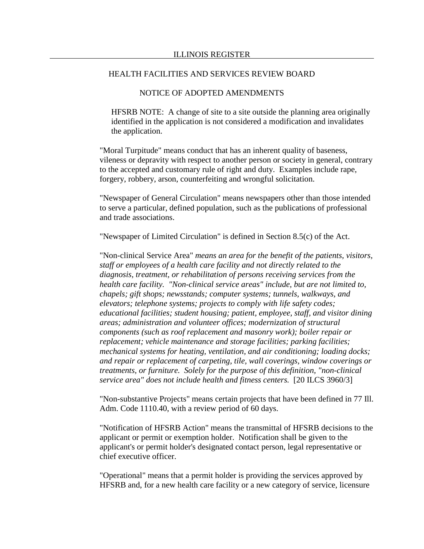### NOTICE OF ADOPTED AMENDMENTS

HFSRB NOTE: A change of site to a site outside the planning area originally identified in the application is not considered a modification and invalidates the application.

"Moral Turpitude" means conduct that has an inherent quality of baseness, vileness or depravity with respect to another person or society in general, contrary to the accepted and customary rule of right and duty. Examples include rape, forgery, robbery, arson, counterfeiting and wrongful solicitation.

"Newspaper of General Circulation" means newspapers other than those intended to serve a particular, defined population, such as the publications of professional and trade associations.

"Newspaper of Limited Circulation" is defined in Section 8.5(c) of the Act.

"Non-clinical Service Area" *means an area for the benefit of the patients, visitors, staff or employees of a health care facility and not directly related to the diagnosis, treatment, or rehabilitation of persons receiving services from the health care facility. "Non-clinical service areas" include, but are not limited to, chapels; gift shops; newsstands; computer systems; tunnels, walkways, and elevators; telephone systems; projects to comply with life safety codes; educational facilities; student housing; patient, employee, staff, and visitor dining areas; administration and volunteer offices; modernization of structural components (such as roof replacement and masonry work); boiler repair or replacement; vehicle maintenance and storage facilities; parking facilities; mechanical systems for heating, ventilation, and air conditioning; loading docks; and repair or replacement of carpeting, tile, wall coverings, window coverings or treatments, or furniture. Solely for the purpose of this definition, "non-clinical service area" does not include health and fitness centers.* [20 ILCS 3960/3]

"Non-substantive Projects" means certain projects that have been defined in 77 Ill. Adm. Code 1110.40, with a review period of 60 days.

"Notification of HFSRB Action" means the transmittal of HFSRB decisions to the applicant or permit or exemption holder. Notification shall be given to the applicant's or permit holder's designated contact person, legal representative or chief executive officer.

"Operational" means that a permit holder is providing the services approved by HFSRB and, for a new health care facility or a new category of service, licensure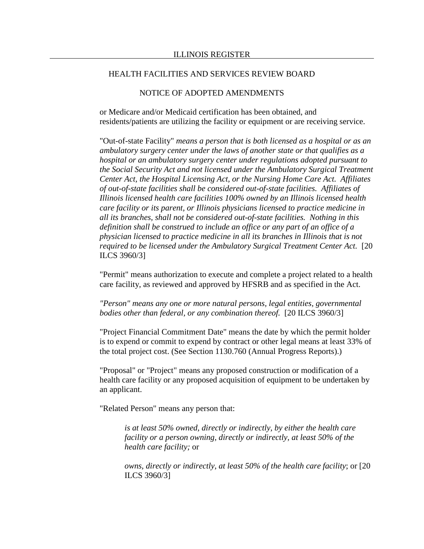## NOTICE OF ADOPTED AMENDMENTS

or Medicare and/or Medicaid certification has been obtained, and residents/patients are utilizing the facility or equipment or are receiving service.

"Out-of-state Facility" *means a person that is both licensed as a hospital or as an ambulatory surgery center under the laws of another state or that qualifies as a hospital or an ambulatory surgery center under regulations adopted pursuant to the Social Security Act and not licensed under the Ambulatory Surgical Treatment Center Act, the Hospital Licensing Act, or the Nursing Home Care Act. Affiliates of out-of-state facilities shall be considered out-of-state facilities. Affiliates of Illinois licensed health care facilities 100% owned by an Illinois licensed health care facility or its parent, or Illinois physicians licensed to practice medicine in all its branches, shall not be considered out-of-state facilities. Nothing in this definition shall be construed to include an office or any part of an office of a physician licensed to practice medicine in all its branches in Illinois that is not required to be licensed under the Ambulatory Surgical Treatment Center Act.* [20 ILCS 3960/3]

"Permit" means authorization to execute and complete a project related to a health care facility, as reviewed and approved by HFSRB and as specified in the Act.

*"Person" means any one or more natural persons, legal entities, governmental bodies other than federal, or any combination thereof.* [20 ILCS 3960/3]

"Project Financial Commitment Date" means the date by which the permit holder is to expend or commit to expend by contract or other legal means at least 33% of the total project cost. (See Section 1130.760 (Annual Progress Reports).)

"Proposal" or "Project" means any proposed construction or modification of a health care facility or any proposed acquisition of equipment to be undertaken by an applicant.

"Related Person" means any person that:

*is at least 50% owned, directly or indirectly, by either the health care facility or a person owning, directly or indirectly, at least 50% of the health care facility;* or

*owns, directly or indirectly, at least 50% of the health care facility*; or [20 ILCS 3960/3]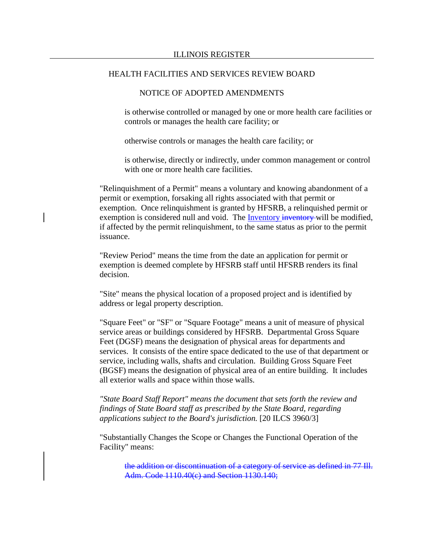## NOTICE OF ADOPTED AMENDMENTS

is otherwise controlled or managed by one or more health care facilities or controls or manages the health care facility; or

otherwise controls or manages the health care facility; or

is otherwise, directly or indirectly, under common management or control with one or more health care facilities.

"Relinquishment of a Permit" means a voluntary and knowing abandonment of a permit or exemption, forsaking all rights associated with that permit or exemption. Once relinquishment is granted by HFSRB, a relinquished permit or exemption is considered null and void. The Inventory inventory will be modified, if affected by the permit relinquishment, to the same status as prior to the permit issuance.

"Review Period" means the time from the date an application for permit or exemption is deemed complete by HFSRB staff until HFSRB renders its final decision.

"Site" means the physical location of a proposed project and is identified by address or legal property description.

"Square Feet" or "SF" or "Square Footage" means a unit of measure of physical service areas or buildings considered by HFSRB. Departmental Gross Square Feet (DGSF) means the designation of physical areas for departments and services. It consists of the entire space dedicated to the use of that department or service, including walls, shafts and circulation. Building Gross Square Feet (BGSF) means the designation of physical area of an entire building. It includes all exterior walls and space within those walls.

*"State Board Staff Report" means the document that sets forth the review and findings of State Board staff as prescribed by the State Board, regarding applications subject to the Board's jurisdiction.* [20 ILCS 3960/3]

"Substantially Changes the Scope or Changes the Functional Operation of the Facility" means:

the addition or discontinuation of a category of service as defined in 77 Ill. Adm. Code 1110.40(c) and Section 1130.140;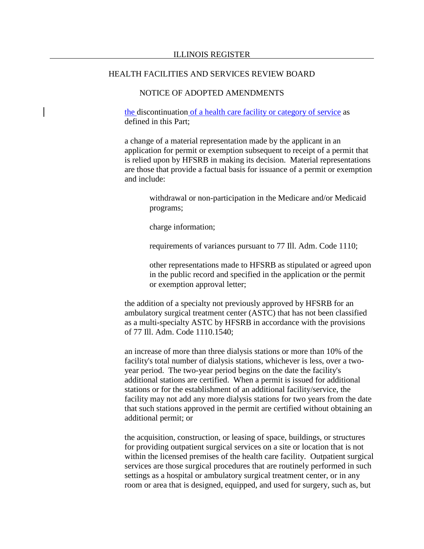## NOTICE OF ADOPTED AMENDMENTS

the discontinuation of a health care facility or category of service as defined in this Part;

a change of a material representation made by the applicant in an application for permit or exemption subsequent to receipt of a permit that is relied upon by HFSRB in making its decision. Material representations are those that provide a factual basis for issuance of a permit or exemption and include:

withdrawal or non-participation in the Medicare and/or Medicaid programs;

charge information;

requirements of variances pursuant to 77 Ill. Adm. Code 1110;

other representations made to HFSRB as stipulated or agreed upon in the public record and specified in the application or the permit or exemption approval letter;

the addition of a specialty not previously approved by HFSRB for an ambulatory surgical treatment center (ASTC) that has not been classified as a multi-specialty ASTC by HFSRB in accordance with the provisions of 77 Ill. Adm. Code 1110.1540;

an increase of more than three dialysis stations or more than 10% of the facility's total number of dialysis stations, whichever is less, over a twoyear period. The two-year period begins on the date the facility's additional stations are certified. When a permit is issued for additional stations or for the establishment of an additional facility/service, the facility may not add any more dialysis stations for two years from the date that such stations approved in the permit are certified without obtaining an additional permit; or

the acquisition, construction, or leasing of space, buildings, or structures for providing outpatient surgical services on a site or location that is not within the licensed premises of the health care facility. Outpatient surgical services are those surgical procedures that are routinely performed in such settings as a hospital or ambulatory surgical treatment center, or in any room or area that is designed, equipped, and used for surgery, such as, but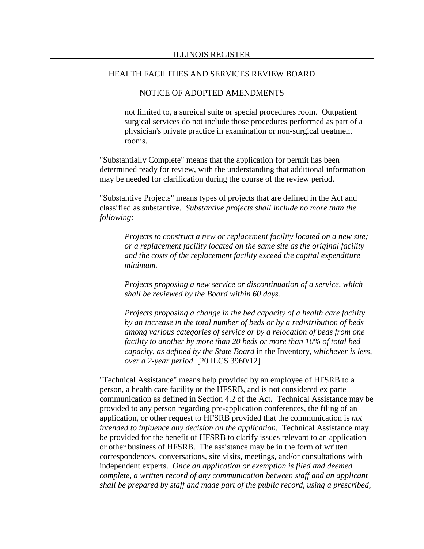## NOTICE OF ADOPTED AMENDMENTS

not limited to, a surgical suite or special procedures room. Outpatient surgical services do not include those procedures performed as part of a physician's private practice in examination or non-surgical treatment rooms.

"Substantially Complete" means that the application for permit has been determined ready for review, with the understanding that additional information may be needed for clarification during the course of the review period.

"Substantive Projects" means types of projects that are defined in the Act and classified as substantive. *Substantive projects shall include no more than the following:*

*Projects to construct a new or replacement facility located on a new site; or a replacement facility located on the same site as the original facility and the costs of the replacement facility exceed the capital expenditure minimum.*

*Projects proposing a new service or discontinuation of a service, which shall be reviewed by the Board within 60 days.*

*Projects proposing a change in the bed capacity of a health care facility by an increase in the total number of beds or by a redistribution of beds among various categories of service or by a relocation of beds from one facility to another by more than 20 beds or more than 10% of total bed capacity, as defined by the State Board* in the Inventory*, whichever is less, over a 2-year period*. [20 ILCS 3960/12]

"Technical Assistance" means help provided by an employee of HFSRB to a person, a health care facility or the HFSRB, and is not considered ex parte communication as defined in Section 4.2 of the Act. Technical Assistance may be provided to any person regarding pre-application conferences, the filing of an application, or other request to HFSRB provided that the communication is *not intended to influence any decision on the application.* Technical Assistance may be provided for the benefit of HFSRB to clarify issues relevant to an application or other business of HFSRB. The assistance may be in the form of written correspondences, conversations, site visits, meetings, and/or consultations with independent experts. *Once an application or exemption is filed and deemed complete, a written record of any communication between staff and an applicant shall be prepared by staff and made part of the public record, using a prescribed,*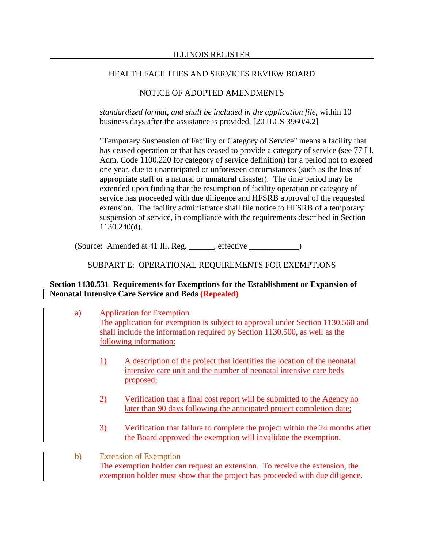# NOTICE OF ADOPTED AMENDMENTS

*standardized format, and shall be included in the application file*, within 10 business days after the assistance is provided*.* [20 ILCS 3960/4.2]

"Temporary Suspension of Facility or Category of Service" means a facility that has ceased operation or that has ceased to provide a category of service (see 77 Ill. Adm. Code 1100.220 for category of service definition) for a period not to exceed one year, due to unanticipated or unforeseen circumstances (such as the loss of appropriate staff or a natural or unnatural disaster). The time period may be extended upon finding that the resumption of facility operation or category of service has proceeded with due diligence and HFSRB approval of the requested extension. The facility administrator shall file notice to HFSRB of a temporary suspension of service, in compliance with the requirements described in Section 1130.240(d).

(Source: Amended at 41 Ill. Reg. \_\_\_\_\_\_, effective \_\_\_\_\_\_\_\_\_\_\_\_)

# SUBPART E: OPERATIONAL REQUIREMENTS FOR EXEMPTIONS

# **Section 1130.531 Requirements for Exemptions for the Establishment or Expansion of Neonatal Intensive Care Service and Beds (Repealed)**

- a) Application for Exemption The application for exemption is subject to approval under Section 1130.560 and shall include the information required by Section 1130.500, as well as the following information:
	- 1) A description of the project that identifies the location of the neonatal intensive care unit and the number of neonatal intensive care beds proposed;
	- 2) Verification that a final cost report will be submitted to the Agency no later than 90 days following the anticipated project completion date;
	- 3) Verification that failure to complete the project within the 24 months after the Board approved the exemption will invalidate the exemption.
- b) Extension of Exemption The exemption holder can request an extension. To receive the extension, the exemption holder must show that the project has proceeded with due diligence.